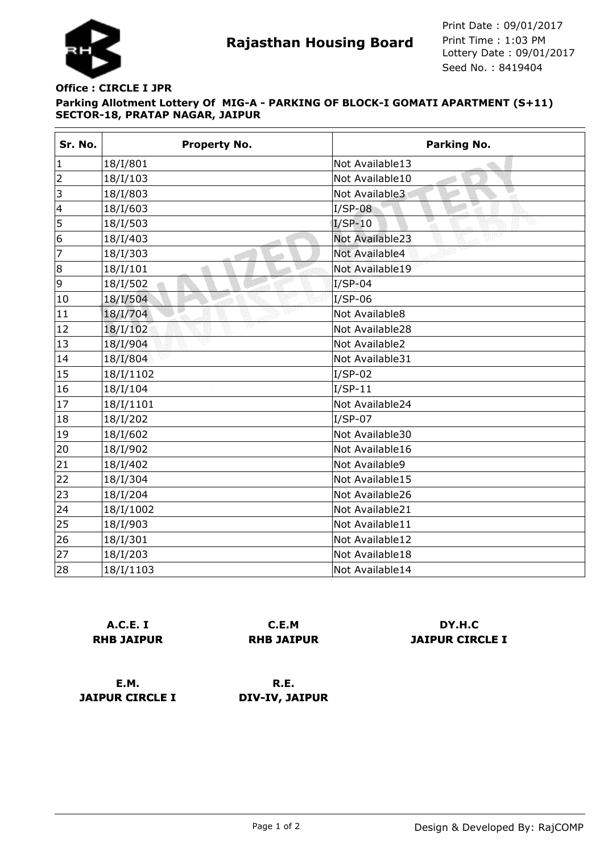

## **Parking Allotment Lottery Of MIG-A - PARKING OF BLOCK-I GOMATI APARTMENT (S+11) SECTOR-18, PRATAP NAGAR, JAIPUR Office : CIRCLE I JPR**

| Sr. No.                 | <b>Property No.</b> | <b>Parking No.</b>        |
|-------------------------|---------------------|---------------------------|
| $\mathbf 1$             | 18/I/801            | Not Available13           |
| $\overline{2}$          | 18/I/103            | Not Available10           |
| 3                       | 18/I/803            | w<br>Not Available3<br>φĪ |
| $\overline{\mathbf{4}}$ | 18/I/603            | $I/SP-08$                 |
| 5                       | 18/I/503            | $I/SP-10$                 |
| 6                       | 18/I/403            | Not Available23           |
| 7                       | 18/I/303            | Not Available4            |
| 8                       | 18/I/101            | Not Available19           |
| 9                       | 18/I/502            | $I/SP-04$                 |
| 10                      | 18/I/504            | I/SP-06                   |
| 11                      | 18/I/704            | Not Available8            |
| 12                      | v<br>18/I/102       | Not Available28           |
| 13                      | 18/I/904            | Not Available2            |
| 14                      | 18/I/804            | Not Available31           |
| 15                      | 18/I/1102           | $I/SP-02$                 |
| 16                      | 18/I/104            | $I/SP-11$                 |
| 17                      | 18/I/1101           | Not Available24           |
| 18                      | 18/I/202            | $I/SP-07$                 |
| 19                      | 18/I/602            | Not Available30           |
| 20                      | 18/I/902            | Not Available16           |
| 21                      | 18/I/402            | Not Available9            |
| 22                      | 18/I/304            | Not Available15           |
| 23                      | 18/I/204            | Not Available26           |
| 24                      | 18/I/1002           | Not Available21           |
| 25                      | 18/I/903            | Not Available11           |
| 26                      | 18/I/301            | Not Available12           |
| 27                      | 18/I/203            | Not Available18           |
| 28                      | 18/I/1103           | Not Available14           |

|                   | <b>A.C.E. I</b> |  |
|-------------------|-----------------|--|
| <b>RHB JAIPUR</b> |                 |  |

**C.E.M RHB JAIPUR**

**DY.H.C JAIPUR CIRCLE I**

**E.M. JAIPUR CIRCLE I**

**R.E. DIV-IV, JAIPUR**